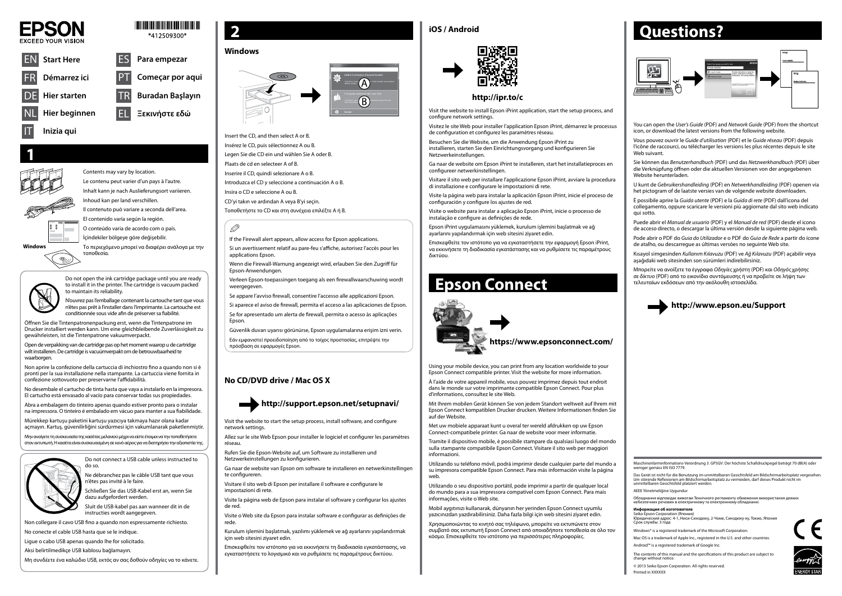

### \*412509300\*

Maschinenlärminformations-Verordnung 3. GPSGV: Der höchste Schalldruckpegel beträgt 70 dB(A) oder weniger gemäss EN ISO 7779.

Das Gerät ist nicht für die Benutzung im unmittelbaren Gesichtsfeld am Bildschirmarbeitsplatz vorgesehen.<br>Um störende Reflexionen am Bildschirmarbeitsplatz zu vermeiden, darf dieses Produkt nicht im<br>unmittelbaren Gesichtsf

AEEE Yönetmeliğine Uygundur.

Обладнання відповідає вимогам Технічного регламенту обмеження використання деяких небезпечних речовин в електричному та електронному обладнанні.

#### **Информация об изготовителе**

Seiko Epson Corporation (Япония) Юридический адрес: 4-1, Ниси-Синздюку, 2-Чоме, Синздюку-ку, Токио, Япония Срок службы: 3 года

Windows® is a registered trademark of the Microsoft Corporation.

Mac OS is a trademark of Apple Inc., registered in the U.S. and other countries. Android™ is a registered trademark of Google Inc.

Verleen Epson-toepassingen toegang als een firewallwaarschuwing wordt weergegeven.

> The contents of this manual and the specifications of this product are subject to change without notice.

© 2013 Seiko Epson Corporation. All rights reserved.

Printed in XXXXXX







Il contenuto può variare a seconda dell'area.

El contenido varía según la región. O conteúdo varia de acordo com o país.

İçindekiler bölgeye göre değişebilir.

Το περιεχόμενο μπορεί να διαφέρει ανάλογα με την τοποθεσία.



# Q

If the Firewall alert appears, allow access for Epson applications.

Si un avertissement relatif au pare-feu s'affiche, autorisez l'accès pour les applications Epson.



Wenn die Firewall-Warnung angezeigt wird, erlauben Sie den Zugriff für Epson-Anwendungen.

Se appare l'avviso firewall, consentire l'accesso alle applicazioni Epson.

Si aparece el aviso de firewall, permita el acceso a las aplicaciones de Epson. Se for apresentado um alerta de firewall, permita o acesso às aplicações Epson.

Güvenlik duvarı uyarısı görünürse, Epson uygulamalarına erişim izni verin.

Εάν εμφανιστεί προειδοποίηση από το τοίχος προστασίας, επιτρέψτε την πρόσβαση σε εφαρμογές Epson.



# **Questions?**





Do not connect a USB cable unless instructed to do so.

Ne débranchez pas le câble USB tant que vous n'êtes pas invité à le faire. Schließen Sie das USB-Kabel erst an, wenn Sie

dazu aufgefordert werden. Sluit de USB-kabel pas aan wanneer dit in de

instructies wordt aangegeven.

Non collegare il cavo USB fino a quando non espressamente richiesto.

No conecte el cable USB hasta que se le indique.

Ligue o cabo USB apenas quando lhe for solicitado.

Aksi belirtilmedikçe USB kablosu bağlamayın.

Μη συνδέετε ένα καλώδιο USB, εκτός αν σας δοθούν οδηγίες να το κάνετε.

Insert the CD, and then select A or B.

Insérez le CD, puis sélectionnez A ou B. Legen Sie die CD ein und wählen Sie A oder B.

Plaats de cd en selecteer A of B.

Inserire il CD, quindi selezionare A o B.

Introduzca el CD y seleccione a continuación A o B.

Insira o CD e seleccione A ou B.

CD'yi takın ve ardından A veya B'yi seçin.

Τοποθετήστε το CD και στη συνέχεια επιλέξτε A ή B.

# **http://support.epson.net/setupnavi/**

### **http://ipr.to/c**

Visit the website to install Epson iPrint application, start the setup process, and configure network settings.

Visitez le site Web pour installer l'application Epson iPrint, démarrez le processus de configuration et configurez les paramètres réseau.

Besuchen Sie die Website, um die Anwendung Epson iPrint zu installieren, starten Sie den Einrichtungsvorgang und konfigurieren Sie Netzwerkeinstellungen.

Ga naar de website om Epson iPrint te installeren, start het installatieproces en configureer netwerkinstellingen.

Visitare il sito web per installare l'applicazione Epson iPrint, avviare la procedura di installazione e configurare le impostazioni di rete.

Visite la página web para instalar la aplicación Epson iPrint, inicie el proceso de configuración y configure los ajustes de red.

Visite o website para instalar a aplicação Epson iPrint, inicie o processo de instalação e configure as definições de rede.

Epson iPrint uygulamasını yüklemek, kurulum işlemini başlatmak ve ağ ayarlarını yapılandırmak için web sitesini ziyaret edin.

Επισκεφθείτε τον ιστότοπο για να εγκαταστήσετε την εφαρμογή Epson iPrint, να εκκινήσετε τη διαδικασία εγκατάστασης και να ρυθμίσετε τις παραμέτρους δικτύου.

Open de verpakking van de cartridge pas op het moment waarop u de cartridge wilt installeren. De cartridge is vacuümverpakt om de betrouwbaarheid te waarborgen.

# **Epson Connect**



Using your mobile device, you can print from any location worldwide to your Epson Connect compatible printer. Visit the website for more information.

À l'aide de votre appareil mobile, vous pouvez imprimez depuis tout endroit dans le monde sur votre imprimante compatible Epson Connect. Pour plus d'informations, consultez le site Web.

Mit Ihrem mobilen Gerät können Sie von jedem Standort weltweit auf Ihrem mit Epson Connect kompatiblen Drucker drucken. Weitere Informationen finden Sie auf der Website.

Met uw mobiele apparaat kunt u overal ter wereld afdrukken op uw Epson Connect-compatibele printer. Ga naar de website voor meer informatie.

Tramite il dispositivo mobile, è possibile stampare da qualsiasi luogo del mondo sulla stampante compatibile Epson Connect. Visitare il sito web per maggiori informazioni.

Utilizando su teléfono móvil, podrá imprimir desde cualquier parte del mundo a su impresora compatible Epson Connect. Para más información visite la página web.

Utilizando o seu dispositivo portátil, pode imprimir a partir de qualquer local do mundo para a sua impressora compatível com Epson Connect. Para mais informações, visite o Web site.

Mobil aygıtınızı kullanarak, dünyanın her yerinden Epson Connect uyumlu yazıcınızdan yazdırabilirsiniz. Daha fazla bilgi için web sitesini ziyaret edin.

Χρησιμοποιώντας το κινητό σας τηλέφωνο, μπορείτε να εκτυπώνετε στον συμβατό σας εκτυπωτή Epson Connect από οποιαδήποτε τοποθεσία σε όλο τον κόσμο. Επισκεφθείτε τον ιστότοπο για περισσότερες πληροφορίες.

- You can open the *User's Guide* (PDF) and *Network Guide* (PDF) from the shortcut icon, or download the latest versions from the following website.
- Vous pouvez ouvrir le *Guide d'utilisation* (PDF) et le *Guide réseau* (PDF) depuis l'icône de raccourci, ou télécharger les versions les plus récentes depuis le site Web suivant.
- Sie können das *Benutzerhandbuch* (PDF) und das *Netzwerkhandbuch* (PDF) über die Verknüpfung öffnen oder die aktuellen Versionen von der angegebenen Website herunterladen.
- U kunt de *Gebruikershandleiding* (PDF) en *Netwerkhandleiding* (PDF) openen via het pictogram of de laatste versies van de volgende website downloaden.
- È possibile aprire la *Guida utente* (PDF) e la *Guida di rete* (PDF) dall'icona del collegamento, oppure scaricare le versioni più aggiornate dal sito web indicato qui sotto.
- Puede abrir el *Manual de usuario* (PDF) y el *Manual de red* (PDF) desde el icono de acceso directo, o descargar la última versión desde la siguiente página web.
- Pode abrir o PDF do *Guia do Utilizador* e o PDF do *Guia de Rede* a partir do ícone de atalho, ou descarregue as últimas versões no seguinte Web site.
- Kısayol simgesinden *Kullanım Kılavuzu* (PDF) ve *Ağ Kılavuzu* (PDF) açabilir veya aşağıdaki web sitesinden son sürümleri indirebilirsiniz.
- Μπορείτε να ανοίξετε τα έγγραφα *Οδηγίες χρήστη* (PDF) και *Οδηγός χρήσης σε δίκτυο* (PDF) από το εικονίδιο συντόμευσης ή να προβείτε σε λήψη των τελευταίων εκδόσεων από την ακόλουθη ιστοσελίδα.

### **Windows**





# **No CD/DVD drive / Mac OS X**



## **iOS / Android**



Visit the website to start the setup process, install software, and configure network settings.

Allez sur le site Web Epson pour installer le logiciel et configurer les paramètres réseau.

Rufen Sie die Epson-Website auf, um Software zu installieren und Netzwerkeinstellungen zu konfigurieren.

Ga naar de website van Epson om software te installeren en netwerkinstellingen te configureren.

Visitare il sito web di Epson per installare il software e configurare le impostazioni di rete.

Visite la página web de Epson para instalar el software y configurar los ajustes de red.

Visite o Web site da Epson para instalar software e configurar as definições de rede.

Kurulum işlemini başlatmak, yazılımı yüklemek ve ağ ayarlarını yapılandırmak için web sitesini ziyaret edin.

Επισκεφθείτε τον ιστότοπο για να εκκινήσετε τη διαδικασία εγκατάστασης, να εγκαταστήσετε το λογισμικό και να ρυθμίσετε τις παραμέτρους δικτύου.

Do not open the ink cartridge package until you are ready to install it in the printer. The cartridge is vacuum packed to maintain its reliability.

N'ouvrez pas l'emballage contenant la cartouche tant que vous n'êtes pas prêt à l'installer dans l'imprimante. La cartouche est conditionnée sous vide afin de préserver sa fiabilité.

Öffnen Sie die Tintenpatronenpackung erst, wenn die Tintenpatrone im Drucker installiert werden kann. Um eine gleichbleibende Zuverlässigkeit zu gewährleisten, ist die Tintenpatrone vakuumverpackt.

Non aprire la confezione della cartuccia di inchiostro fino a quando non si è pronti per la sua installazione nella stampante. La cartuccia viene fornita in confezione sottovuoto per preservarne l'affidabilità.

No desembale el cartucho de tinta hasta que vaya a instalarlo en la impresora. El cartucho está envasado al vacío para conservar todas sus propiedades.

Abra a embalagem do tinteiro apenas quando estiver pronto para o instalar na impressora. O tinteiro é embalado em vácuo para manter a sua fiabilidade.

Mürekkep kartuşu paketini kartuşu yazıcıya takmaya hazır olana kadar açmayın. Kartuş, güvenilirliğini sürdürmesi için vakumlanarak paketlenmiştir.

Μην ανοίγετε τη συσκευασία της κασέτας μελανιού μέχρι να είστε έτοιμοι να την τοποθετήσετε στον εκτυπωτή. Η κασέτα είναι συσκευασμένη σε κενό αέρος για να διατηρήσει την αξιοπιστία της.



**Windows**

8 B L

 $\overline{\mathbb{Z}}$